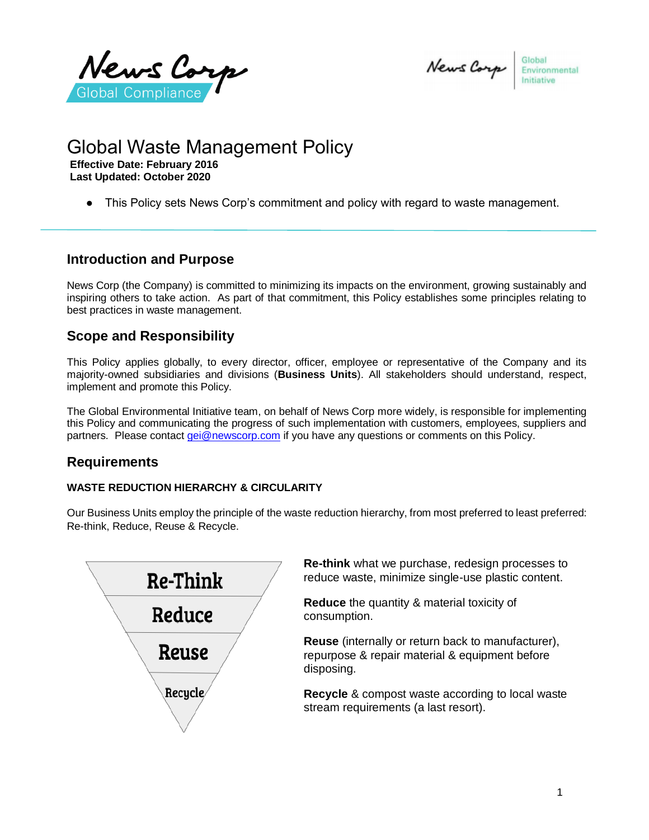News Corp Global Complianc

Global News Corp Environmental

## Global Waste Management Policy **Effective Date: February 2016**

**Last Updated: October 2020**

● This Policy sets News Corp's commitment and policy with regard to waste management.

#### **Introduction and Purpose**

News Corp (the Company) is committed to minimizing its impacts on the environment, growing sustainably and inspiring others to take action. As part of that commitment, this Policy establishes some principles relating to best practices in waste management.

# **Scope and Responsibility**

This Policy applies globally, to every director, officer, employee or representative of the Company and its majority-owned subsidiaries and divisions (**Business Units**). All stakeholders should understand, respect, implement and promote this Policy.

The Global Environmental Initiative team, on behalf of News Corp more widely, is responsible for implementing this Policy and communicating the progress of such implementation with customers, employees, suppliers and partners. Please contact [gei@newscorp.com](mailto:gei@newscorp.com) if you have any questions or comments on this Policy.

## **Requirements**

#### **WASTE REDUCTION HIERARCHY & CIRCULARITY**

Our Business Units employ the principle of the waste reduction hierarchy, from most preferred to least preferred: Re-think, Reduce, Reuse & Recycle.



**Re-think** what we purchase, redesign processes to reduce waste, minimize single-use plastic content.

**Reduce** the quantity & material toxicity of consumption.

**Reuse** (internally or return back to manufacturer), repurpose & repair material & equipment before disposing.

**Recycle** & compost waste according to local waste stream requirements (a last resort).